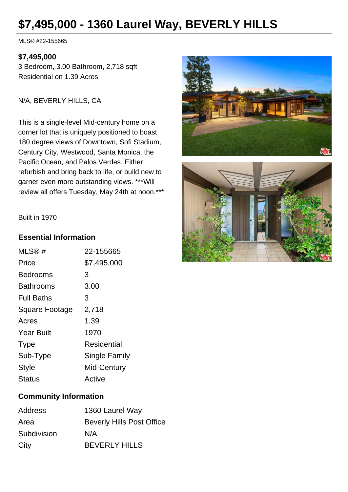# **\$7,495,000 - 1360 Laurel Way, BEVERLY HILLS**

MLS® #22-155665

#### **\$7,495,000**

3 Bedroom, 3.00 Bathroom, 2,718 sqft Residential on 1.39 Acres

N/A, BEVERLY HILLS, CA

This is a single-level Mid-century home on a corner lot that is uniquely positioned to boast 180 degree views of Downtown, Sofi Stadium, Century City, Westwood, Santa Monica, the Pacific Ocean, and Palos Verdes. Either refurbish and bring back to life, or build new to garner even more outstanding views. \*\*\*Will review all offers Tuesday, May 24th at noon.\*\*\*





Built in 1970

### **Essential Information**

| 22-155665     |
|---------------|
| \$7,495,000   |
| 3             |
| 3.00          |
| 3             |
| 2,718         |
| 1.39          |
| 1970          |
| Residential   |
| Single Family |
| Mid-Century   |
| Active        |
|               |

### **Community Information**

| Address     | 1360 Laurel Way                  |
|-------------|----------------------------------|
| Area        | <b>Beverly Hills Post Office</b> |
| Subdivision | N/A                              |
| City        | <b>BEVERLY HILLS</b>             |